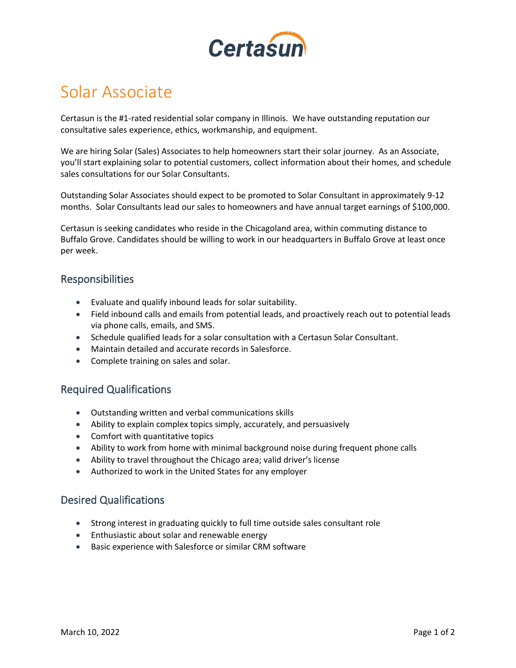

# Solar Associate

Certasun is the #1-rated residential solar company in Illinois. We have outstanding reputation our consultative sales experience, ethics, workmanship, and equipment.

We are hiring Solar (Sales) Associates to help homeowners start their solar journey. As an Associate, you'll start explaining solar to potential customers, collect information about their homes, and schedule sales consultations for our Solar Consultants.

Outstanding Solar Associates should expect to be promoted to Solar Consultant in approximately 9-12 months. Solar Consultants lead our sales to homeowners and have annual target earnings of \$100,000.

Certasun is seeking candidates who reside in the Chicagoland area, within commuting distance to Buffalo Grove. Candidates should be willing to work in our headquarters in Buffalo Grove at least once per week.

### Responsibilities

- Evaluate and qualify inbound leads for solar suitability.
- Field inbound calls and emails from potential leads, and proactively reach out to potential leads via phone calls, emails, and SMS.
- Schedule qualified leads for a solar consultation with a Certasun Solar Consultant.
- Maintain detailed and accurate records in Salesforce.
- Complete training on sales and solar.

#### Required Qualifications

- Outstanding written and verbal communications skills
- Ability to explain complex topics simply, accurately, and persuasively
- Comfort with quantitative topics
- Ability to work from home with minimal background noise during frequent phone calls
- Ability to travel throughout the Chicago area; valid driver's license
- Authorized to work in the United States for any employer

#### Desired Qualifications

- Strong interest in graduating quickly to full time outside sales consultant role
- Enthusiastic about solar and renewable energy
- Basic experience with Salesforce or similar CRM software